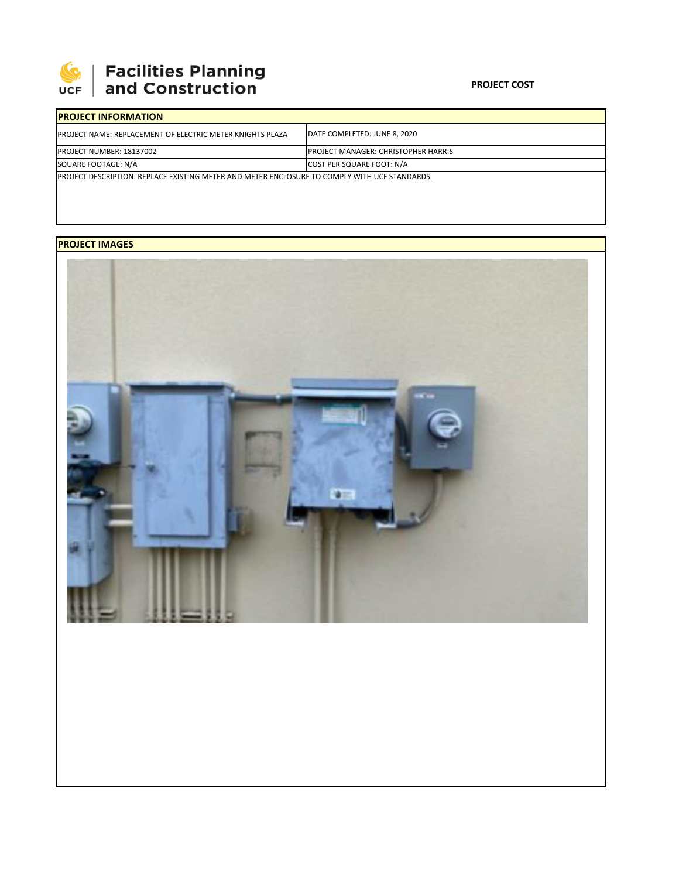

## **Facilities Planning**<br>and Construction

| <b>IPROJECT INFORMATION</b>                                                                           |                                            |  |  |  |  |
|-------------------------------------------------------------------------------------------------------|--------------------------------------------|--|--|--|--|
| <b>IPROJECT NAME: REPLACEMENT OF ELECTRIC METER KNIGHTS PLAZA</b>                                     | DATE COMPLETED: JUNE 8, 2020               |  |  |  |  |
| <b>PROJECT NUMBER: 18137002</b>                                                                       | <b>PROJECT MANAGER: CHRISTOPHER HARRIS</b> |  |  |  |  |
| SQUARE FOOTAGE: N/A                                                                                   | COST PER SQUARE FOOT: N/A                  |  |  |  |  |
| <b>IPROJECT DESCRIPTION: REPLACE EXISTING METER AND METER ENCLOSURE TO COMPLY WITH UCF STANDARDS.</b> |                                            |  |  |  |  |

## **PROJECT IMAGES**